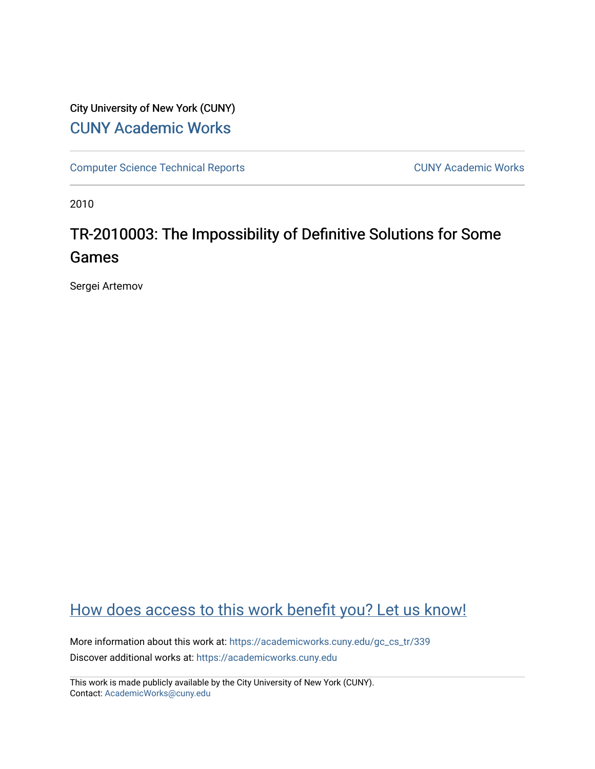# City University of New York (CUNY) [CUNY Academic Works](https://academicworks.cuny.edu/)

[Computer Science Technical Reports](https://academicworks.cuny.edu/gc_cs_tr) **CUNY Academic Works** CUNY Academic Works

2010

# TR-2010003: The Impossibility of Definitive Solutions for Some Games

Sergei Artemov

# [How does access to this work benefit you? Let us know!](http://ols.cuny.edu/academicworks/?ref=https://academicworks.cuny.edu/gc_cs_tr/339)

More information about this work at: [https://academicworks.cuny.edu/gc\\_cs\\_tr/339](https://academicworks.cuny.edu/gc_cs_tr/339)  Discover additional works at: [https://academicworks.cuny.edu](https://academicworks.cuny.edu/?)

This work is made publicly available by the City University of New York (CUNY). Contact: [AcademicWorks@cuny.edu](mailto:AcademicWorks@cuny.edu)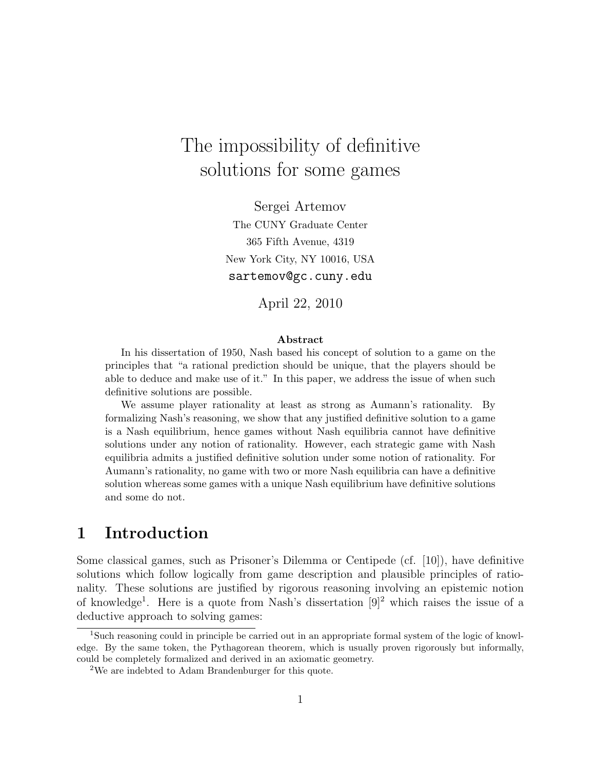# The impossibility of definitive solutions for some games

Sergei Artemov The CUNY Graduate Center 365 Fifth Avenue, 4319 New York City, NY 10016, USA sartemov@gc.cuny.edu

April 22, 2010

#### Abstract

In his dissertation of 1950, Nash based his concept of solution to a game on the principles that "a rational prediction should be unique, that the players should be able to deduce and make use of it." In this paper, we address the issue of when such definitive solutions are possible.

We assume player rationality at least as strong as Aumann's rationality. By formalizing Nash's reasoning, we show that any justified definitive solution to a game is a Nash equilibrium, hence games without Nash equilibria cannot have definitive solutions under any notion of rationality. However, each strategic game with Nash equilibria admits a justified definitive solution under some notion of rationality. For Aumann's rationality, no game with two or more Nash equilibria can have a definitive solution whereas some games with a unique Nash equilibrium have definitive solutions and some do not.

## 1 Introduction

Some classical games, such as Prisoner's Dilemma or Centipede (cf. [10]), have definitive solutions which follow logically from game description and plausible principles of rationality. These solutions are justified by rigorous reasoning involving an epistemic notion of knowledge<sup>1</sup> . Here is a quote from Nash's dissertation [9]<sup>2</sup> which raises the issue of a deductive approach to solving games:

<sup>1</sup>Such reasoning could in principle be carried out in an appropriate formal system of the logic of knowledge. By the same token, the Pythagorean theorem, which is usually proven rigorously but informally, could be completely formalized and derived in an axiomatic geometry.

<sup>2</sup>We are indebted to Adam Brandenburger for this quote.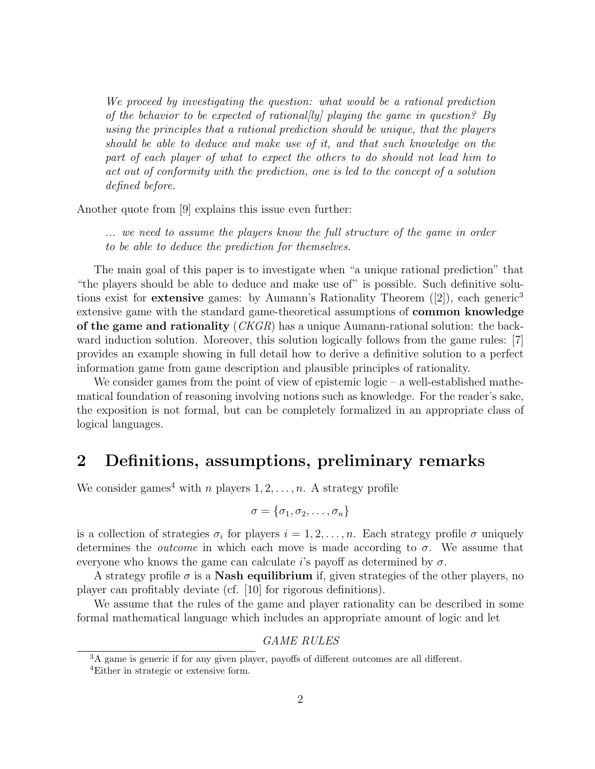We proceed by investigating the question: what would be a rational prediction of the behavior to be expected of rational/ly/ playing the game in question? By using the principles that a rational prediction should be unique, that the players should be able to deduce and make use of it, and that such knowledge on the part of each player of what to expect the others to do should not lead him to act out of conformity with the prediction, one is led to the concept of a solution defined before.

Another quote from [9] explains this issue even further:

... we need to assume the players know the full structure of the game in order to be able to deduce the prediction for themselves.

The main goal of this paper is to investigate when "a unique rational prediction" that "the players should be able to deduce and make use of" is possible. Such definitive solutions exist for **extensive** games: by Aumann's Rationality Theorem  $(2)$ , each generic<sup>3</sup> extensive game with the standard game-theoretical assumptions of common knowledge of the game and rationality (CKGR) has a unique Aumann-rational solution: the backward induction solution. Moreover, this solution logically follows from the game rules: [7] provides an example showing in full detail how to derive a definitive solution to a perfect information game from game description and plausible principles of rationality.

We consider games from the point of view of epistemic logic  $-$  a well-established mathematical foundation of reasoning involving notions such as knowledge. For the reader's sake, the exposition is not formal, but can be completely formalized in an appropriate class of logical languages.

### 2 Definitions, assumptions, preliminary remarks

We consider games<sup>4</sup> with *n* players  $1, 2, \ldots, n$ . A strategy profile

$$
\sigma=\{\sigma_1,\sigma_2,\ldots,\sigma_n\}
$$

is a collection of strategies  $\sigma_i$  for players  $i = 1, 2, \ldots, n$ . Each strategy profile  $\sigma$  uniquely determines the *outcome* in which each move is made according to  $\sigma$ . We assume that everyone who knows the game can calculate  $i$ 's payoff as determined by  $\sigma$ .

A strategy profile  $\sigma$  is a **Nash equilibrium** if, given strategies of the other players, no player can profitably deviate (cf. [10] for rigorous definitions).

We assume that the rules of the game and player rationality can be described in some formal mathematical language which includes an appropriate amount of logic and let

GAME RULES

<sup>&</sup>lt;sup>3</sup>A game is generic if for any given player, payoffs of different outcomes are all different.

<sup>4</sup>Either in strategic or extensive form.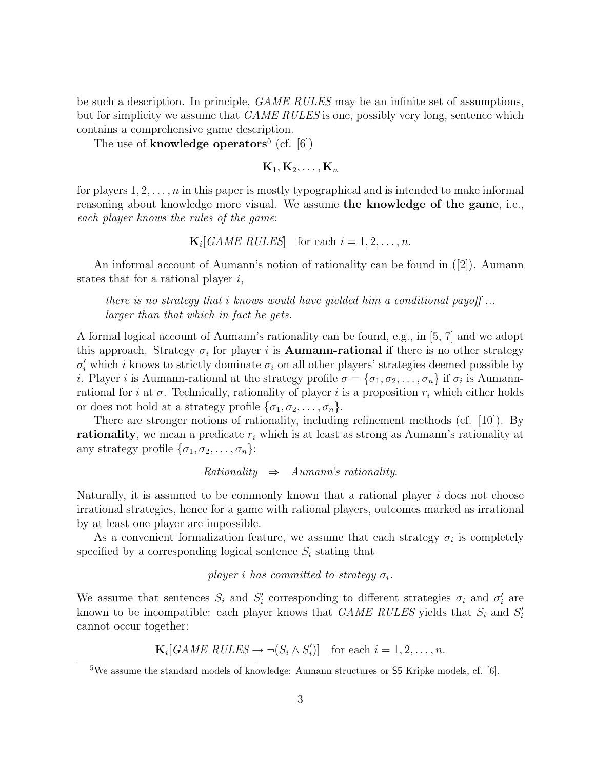be such a description. In principle, GAME RULES may be an infinite set of assumptions, but for simplicity we assume that *GAME RULES* is one, possibly very long, sentence which contains a comprehensive game description.

The use of **knowledge** operators<sup>5</sup> (cf.  $[6]$ )

$$
\mathbf{K}_1, \mathbf{K}_2, \ldots, \mathbf{K}_n
$$

for players  $1, 2, \ldots, n$  in this paper is mostly typographical and is intended to make informal reasoning about knowledge more visual. We assume the knowledge of the game, i.e., each player knows the rules of the game:

$$
\mathbf{K}_i[GAME \; RULES] \quad \text{for each } i = 1, 2, \dots, n.
$$

An informal account of Aumann's notion of rationality can be found in ([2]). Aumann states that for a rational player  $i$ ,

there is no strategy that i knows would have yielded him a conditional payoff ... larger than that which in fact he gets.

A formal logical account of Aumann's rationality can be found, e.g., in [5, 7] and we adopt this approach. Strategy  $\sigma_i$  for player i is **Aumann-rational** if there is no other strategy  $\sigma'_i$  which *i* knows to strictly dominate  $\sigma_i$  on all other players' strategies deemed possible by *i*. Player *i* is Aumann-rational at the strategy profile  $\sigma = {\sigma_1, \sigma_2, \ldots, \sigma_n}$  if  $\sigma_i$  is Aumannrational for i at  $\sigma$ . Technically, rationality of player i is a proposition  $r_i$  which either holds or does not hold at a strategy profile  $\{\sigma_1, \sigma_2, \ldots, \sigma_n\}.$ 

There are stronger notions of rationality, including refinement methods (cf. [10]). By rationality, we mean a predicate  $r_i$  which is at least as strong as Aumann's rationality at any strategy profile  $\{\sigma_1, \sigma_2, \ldots, \sigma_n\}$ :

 $Rationality \Rightarrow \text{Aumann's rationality}$ 

Naturally, it is assumed to be commonly known that a rational player  $i$  does not choose irrational strategies, hence for a game with rational players, outcomes marked as irrational by at least one player are impossible.

As a convenient formalization feature, we assume that each strategy  $\sigma_i$  is completely specified by a corresponding logical sentence  $S_i$  stating that

player i has committed to strategy  $\sigma_i$ .

We assume that sentences  $S_i$  and  $S'_i$  corresponding to different strategies  $\sigma_i$  and  $\sigma'_i$  are known to be incompatible: each player knows that *GAME RULES* yields that  $S_i$  and  $S'_i$ cannot occur together:

 $\mathbf{K}_i[GAME \; RULES \rightarrow \neg(S_i \wedge S'_i)]$  for each  $i = 1, 2, ..., n$ .

<sup>&</sup>lt;sup>5</sup>We assume the standard models of knowledge: Aumann structures or **S5** Kripke models, cf. [6].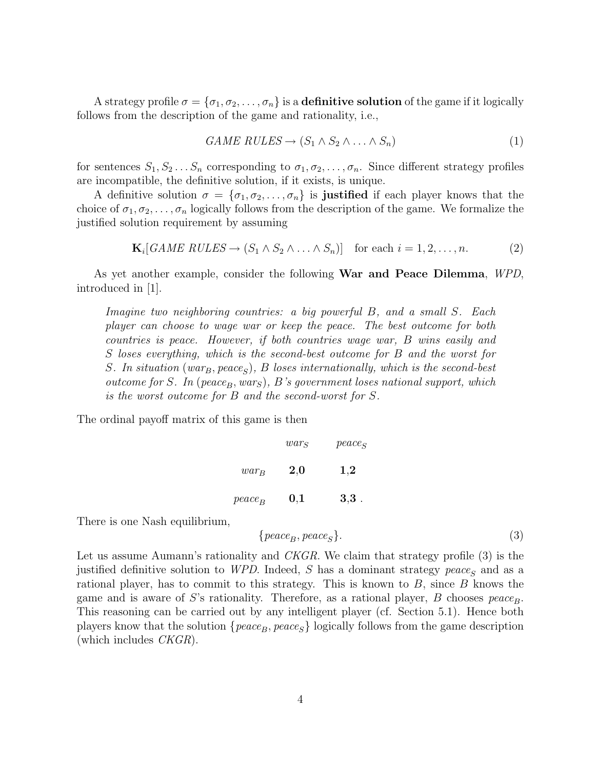A strategy profile  $\sigma = {\sigma_1, \sigma_2, \ldots, \sigma_n}$  is a **definitive solution** of the game if it logically follows from the description of the game and rationality, i.e.,

$$
GAME RULES \rightarrow (S_1 \land S_2 \land \dots \land S_n)
$$
\n
$$
(1)
$$

for sentences  $S_1, S_2 \ldots S_n$  corresponding to  $\sigma_1, \sigma_2, \ldots, \sigma_n$ . Since different strategy profiles are incompatible, the definitive solution, if it exists, is unique.

A definitive solution  $\sigma = {\sigma_1, \sigma_2, ..., \sigma_n}$  is justified if each player knows that the choice of  $\sigma_1, \sigma_2, \ldots, \sigma_n$  logically follows from the description of the game. We formalize the justified solution requirement by assuming

$$
\mathbf{K}_i[GAME \; RULES \to (S_1 \land S_2 \land \dots \land S_n)] \quad \text{for each } i = 1, 2, \dots, n. \tag{2}
$$

As yet another example, consider the following **War and Peace Dilemma**, WPD, introduced in [1].

Imagine two neighboring countries: a big powerful B, and a small S. Each player can choose to wage war or keep the peace. The best outcome for both countries is peace. However, if both countries wage war, B wins easily and S loses everything, which is the second-best outcome for B and the worst for S. In situation (war<sub>B</sub>, peace<sub>S</sub>), B loses internationally, which is the second-best outcome for S. In (peace<sub>B</sub>, wars), B's government loses national support, which is the worst outcome for B and the second-worst for S.

The ordinal payoff matrix of this game is then

|           | wars | $peace_S$ |
|-----------|------|-----------|
| $war_{B}$ | 2,0  | 1,2       |
| $peace_B$ | 0,1  | $3,3$ .   |

There is one Nash equilibrium,

$$
\{peace_B, peace_S\}.\tag{3}
$$

Let us assume Aumann's rationality and *CKGR*. We claim that strategy profile (3) is the justified definitive solution to WPD. Indeed, S has a dominant strategy peace<sub>S</sub> and as a rational player, has to commit to this strategy. This is known to  $B$ , since  $B$  knows the game and is aware of S's rationality. Therefore, as a rational player, B chooses  $peace_B$ . This reasoning can be carried out by any intelligent player (cf. Section 5.1). Hence both players know that the solution  $\{peace_B, peace_S\}$  logically follows from the game description (which includes  $CKGR$ ).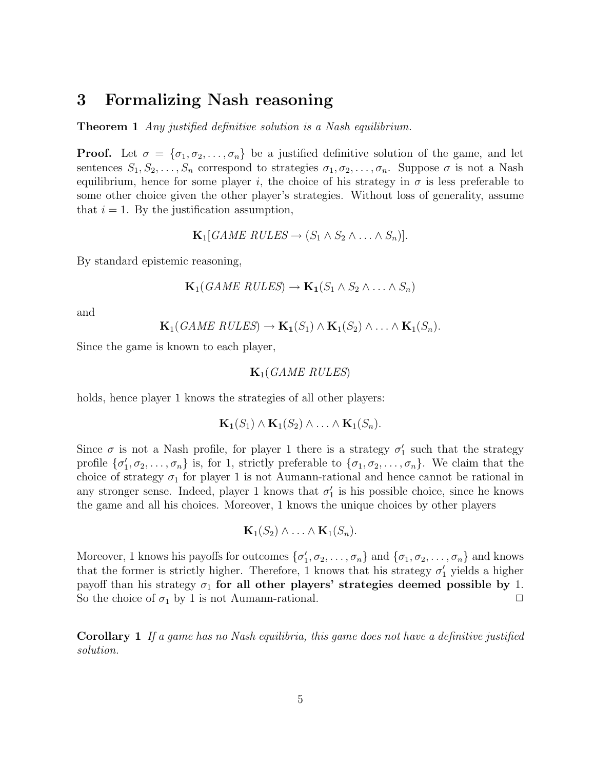### 3 Formalizing Nash reasoning

**Theorem 1** Any justified definitive solution is a Nash equilibrium.

**Proof.** Let  $\sigma = {\sigma_1, \sigma_2, \ldots, \sigma_n}$  be a justified definitive solution of the game, and let sentences  $S_1, S_2, \ldots, S_n$  correspond to strategies  $\sigma_1, \sigma_2, \ldots, \sigma_n$ . Suppose  $\sigma$  is not a Nash equilibrium, hence for some player i, the choice of his strategy in  $\sigma$  is less preferable to some other choice given the other player's strategies. Without loss of generality, assume that  $i = 1$ . By the justification assumption,

$$
\mathbf{K}_1[GAME \; RULES \rightarrow (S_1 \wedge S_2 \wedge \ldots \wedge S_n)].
$$

By standard epistemic reasoning,

$$
\mathbf{K}_1(GAME \ RULES) \rightarrow \mathbf{K}_1(S_1 \land S_2 \land \ldots \land S_n)
$$

and

$$
\mathbf{K}_1(\text{GAME RULES}) \to \mathbf{K}_1(S_1) \wedge \mathbf{K}_1(S_2) \wedge \ldots \wedge \mathbf{K}_1(S_n).
$$

Since the game is known to each player,

$$
\mathbf{K}_1(\mathit{GAME\ RULES})
$$

holds, hence player 1 knows the strategies of all other players:

$$
\mathbf{K_1}(S_1) \wedge \mathbf{K_1}(S_2) \wedge \ldots \wedge \mathbf{K_1}(S_n).
$$

Since  $\sigma$  is not a Nash profile, for player 1 there is a strategy  $\sigma'_1$  such that the strategy profile  $\{\sigma'_1,\sigma_2,\ldots,\sigma_n\}$  is, for 1, strictly preferable to  $\{\sigma_1,\sigma_2,\ldots,\sigma_n\}$ . We claim that the choice of strategy  $\sigma_1$  for player 1 is not Aumann-rational and hence cannot be rational in any stronger sense. Indeed, player 1 knows that  $\sigma'_1$  is his possible choice, since he knows the game and all his choices. Moreover, 1 knows the unique choices by other players

$$
\mathbf{K}_1(S_2) \wedge \ldots \wedge \mathbf{K}_1(S_n).
$$

Moreover, 1 knows his payoffs for outcomes  $\{\sigma'_1, \sigma_2, \ldots, \sigma_n\}$  and  $\{\sigma_1, \sigma_2, \ldots, \sigma_n\}$  and knows that the former is strictly higher. Therefore, 1 knows that his strategy  $\sigma'_1$  yields a higher payoff than his strategy  $\sigma_1$  for all other players' strategies deemed possible by 1. So the choice of  $\sigma_1$  by 1 is not Aumann-rational.  $\Box$ 

Corollary 1 If a game has no Nash equilibria, this game does not have a definitive justified solution.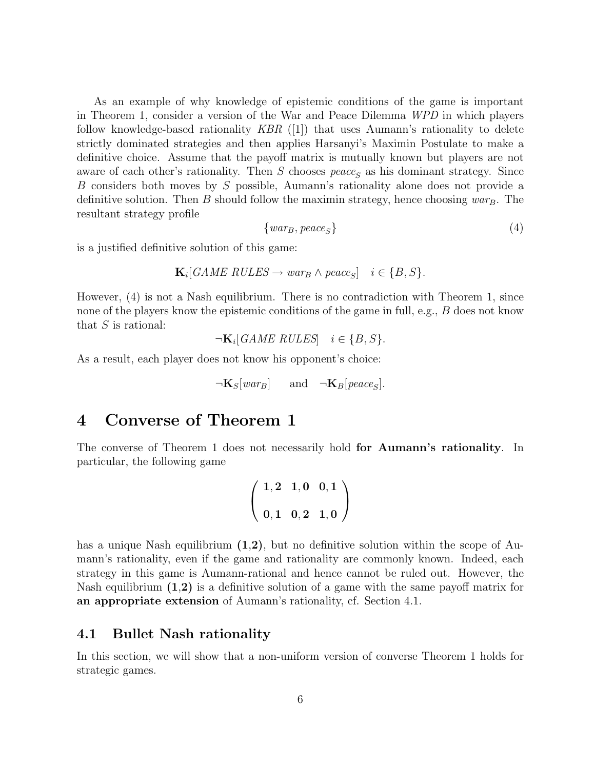As an example of why knowledge of epistemic conditions of the game is important in Theorem 1, consider a version of the War and Peace Dilemma WPD in which players follow knowledge-based rationality  $KBR$  ([1]) that uses Aumann's rationality to delete strictly dominated strategies and then applies Harsanyi's Maximin Postulate to make a definitive choice. Assume that the payoff matrix is mutually known but players are not aware of each other's rationality. Then S chooses  $peace_S$  as his dominant strategy. Since B considers both moves by S possible, Aumann's rationality alone does not provide a definitive solution. Then B should follow the maximin strategy, hence choosing  $war_B$ . The resultant strategy profile

$$
\{warg, peace_S\} \tag{4}
$$

is a justified definitive solution of this game:

$$
\mathbf{K}_i[GAME\ RULES \to war_B \land peace_S] \quad i \in \{B, S\}.
$$

However, (4) is not a Nash equilibrium. There is no contradiction with Theorem 1, since none of the players know the epistemic conditions of the game in full, e.g., B does not know that  $S$  is rational:

 $\neg K_i[GAME RULES] \quad i \in \{B, S\}.$ 

As a result, each player does not know his opponent's choice:

$$
\neg \mathbf{K}_S[war_B]
$$
 and  $\neg \mathbf{K}_B[peace_S].$ 

### 4 Converse of Theorem 1

The converse of Theorem 1 does not necessarily hold for Aumann's rationality. In particular, the following game

$$
\left(\begin{array}{ccc}1,2&1,0&0,1\\0,1&0,2&1,0\end{array}\right)
$$

has a unique Nash equilibrium  $(1,2)$ , but no definitive solution within the scope of Aumann's rationality, even if the game and rationality are commonly known. Indeed, each strategy in this game is Aumann-rational and hence cannot be ruled out. However, the Nash equilibrium  $(1,2)$  is a definitive solution of a game with the same payoff matrix for an appropriate extension of Aumann's rationality, cf. Section 4.1.

#### 4.1 Bullet Nash rationality

In this section, we will show that a non-uniform version of converse Theorem 1 holds for strategic games.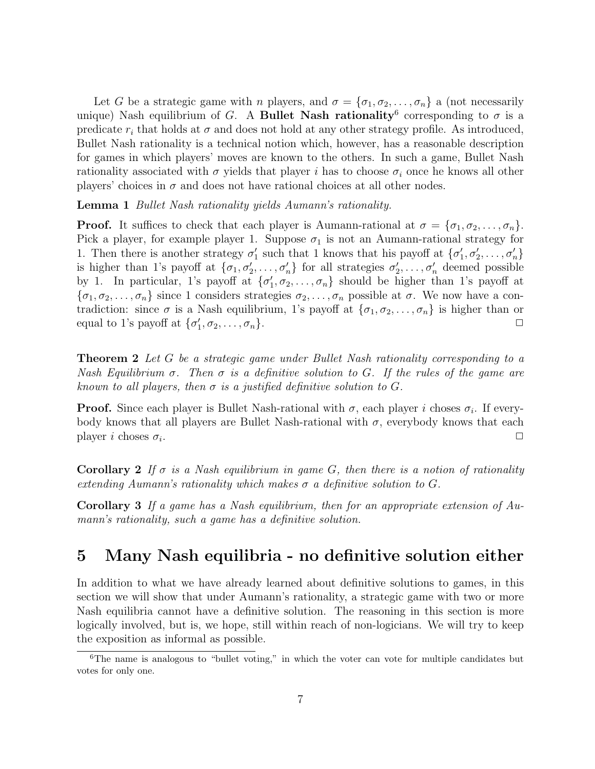Let G be a strategic game with n players, and  $\sigma = {\sigma_1, \sigma_2, \ldots, \sigma_n}$  a (not necessarily unique) Nash equilibrium of G. A Bullet Nash rationality<sup>6</sup> corresponding to  $\sigma$  is a predicate  $r_i$  that holds at  $\sigma$  and does not hold at any other strategy profile. As introduced, Bullet Nash rationality is a technical notion which, however, has a reasonable description for games in which players' moves are known to the others. In such a game, Bullet Nash rationality associated with  $\sigma$  yields that player i has to choose  $\sigma_i$  once he knows all other players' choices in  $\sigma$  and does not have rational choices at all other nodes.

Lemma 1 Bullet Nash rationality yields Aumann's rationality.

**Proof.** It suffices to check that each player is Aumann-rational at  $\sigma = {\sigma_1, \sigma_2, \ldots, \sigma_n}$ . Pick a player, for example player 1. Suppose  $\sigma_1$  is not an Aumann-rational strategy for 1. Then there is another strategy  $\sigma'_1$  such that 1 knows that his payoff at  $\{\sigma'_1, \sigma'_2, \ldots, \sigma'_n\}$ is higher than 1's payoff at  $\{\sigma_1, \sigma'_2, \ldots, \sigma'_n\}$  for all strategies  $\sigma'_2, \ldots, \sigma'_n$  deemed possible by 1. In particular, 1's payoff at  $\{\sigma'_1, \sigma_2, \ldots, \sigma_n\}$  should be higher than 1's payoff at  $\{\sigma_1,\sigma_2,\ldots,\sigma_n\}$  since 1 considers strategies  $\sigma_2,\ldots,\sigma_n$  possible at  $\sigma$ . We now have a contradiction: since  $\sigma$  is a Nash equilibrium, 1's payoff at  $\{\sigma_1, \sigma_2, \ldots, \sigma_n\}$  is higher than or equal to 1's payoff at  $\{\sigma'_1, \sigma_2, \ldots, \sigma_n\}$ .

**Theorem 2** Let G be a strategic game under Bullet Nash rationality corresponding to a Nash Equilibrium  $\sigma$ . Then  $\sigma$  is a definitive solution to G. If the rules of the game are known to all players, then  $\sigma$  is a justified definitive solution to G.

**Proof.** Since each player is Bullet Nash-rational with  $\sigma$ , each player i choses  $\sigma_i$ . If everybody knows that all players are Bullet Nash-rational with  $\sigma$ , everybody knows that each player i choses  $\sigma_i$ . . The contract of the contract of the contract of the contract of the contract of the contract of the contract of the contract of the contract of the contract of the contract of the contract of the contract of the contrac

Corollary 2 If  $\sigma$  is a Nash equilibrium in game G, then there is a notion of rationality extending Aumann's rationality which makes  $\sigma$  a definitive solution to G.

Corollary 3 If a game has a Nash equilibrium, then for an appropriate extension of Aumann's rationality, such a game has a definitive solution.

### 5 Many Nash equilibria - no definitive solution either

In addition to what we have already learned about definitive solutions to games, in this section we will show that under Aumann's rationality, a strategic game with two or more Nash equilibria cannot have a definitive solution. The reasoning in this section is more logically involved, but is, we hope, still within reach of non-logicians. We will try to keep the exposition as informal as possible.

<sup>&</sup>lt;sup>6</sup>The name is analogous to "bullet voting," in which the voter can vote for multiple candidates but votes for only one.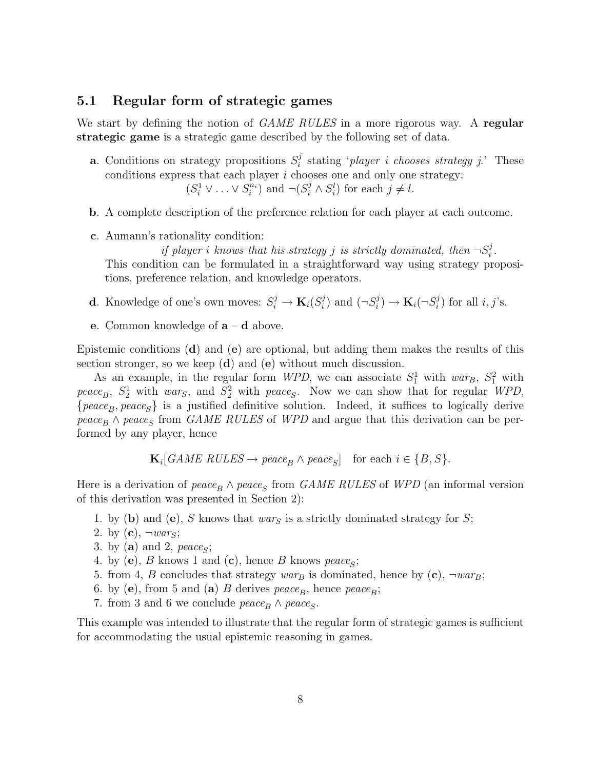#### 5.1 Regular form of strategic games

We start by defining the notion of GAME RULES in a more rigorous way. A regular strategic game is a strategic game described by the following set of data.

- **a**. Conditions on strategy propositions  $S_i^j$  $s_i^j$  stating '*player i chooses strategy j*.' These conditions express that each player  $i$  chooses one and only one strategy:  $(S_i^1 \vee \ldots \vee S_i^{n_i})$  and  $\neg(S_i^j \wedge S_i^l)$  for each  $j \neq l$ .
- b. A complete description of the preference relation for each player at each outcome.
- c. Aumann's rationality condition:

if player i knows that his strategy j is strictly dominated, then  $\neg S_i^j$  $\frac{j}{i}$  . This condition can be formulated in a straightforward way using strategy propositions, preference relation, and knowledge operators.

- **d**. Knowledge of one's own moves:  $S_i^j \to \mathbf{K}_i(S_i^j)$  $j \choose i$  and  $(\neg S_i^j)$  $\mathbf{K}_i(\neg S_i^j) \rightarrow \mathbf{K}_i(\neg S_i^j)$  $i)$  for all  $i, j$ 's.
- e. Common knowledge of a d above.

Epistemic conditions  $(d)$  and  $(e)$  are optional, but adding them makes the results of this section stronger, so we keep  $(d)$  and  $(e)$  without much discussion.

As an example, in the regular form WPD, we can associate  $S_1^1$  with  $war_B$ ,  $S_1^2$  with peace<sub>B</sub>,  $S_2^1$  with wars, and  $S_2^2$  with peace<sub>S</sub>. Now we can show that for regular WPD,  ${peace_B, peace_S}$  is a justified definitive solution. Indeed, it suffices to logically derive  $peace_B \wedge peace_S$  from *GAME RULES* of *WPD* and argue that this derivation can be performed by any player, hence

 $\mathbf{K}_i[GAME \; RULES \rightarrow peace_B \land peace_S] \quad \text{for each } i \in \{B, S\}.$ 

Here is a derivation of  $peace_B \wedge peace_S$  from *GAME RULES* of *WPD* (an informal version of this derivation was presented in Section 2):

- 1. by (b) and (e), S knows that wars is a strictly dominated strategy for S;
- 2. by  $(c)$ ,  $\neg war_S$ ;
- 3. by (a) and 2,  $\text{peace}_S$ ;
- 4. by (e),  $B$  knows 1 and (c), hence  $B$  knows  $peace_S$ ;
- 5. from 4, B concludes that strategy  $warg$  is dominated, hence by  $(c)$ ,  $\neg war_B$ ;
- 6. by (e), from 5 and (a) B derives  $peace_B$ , hence  $peace_B$ ;
- 7. from 3 and 6 we conclude  $peace_B \wedge peace_S$ .

This example was intended to illustrate that the regular form of strategic games is sufficient for accommodating the usual epistemic reasoning in games.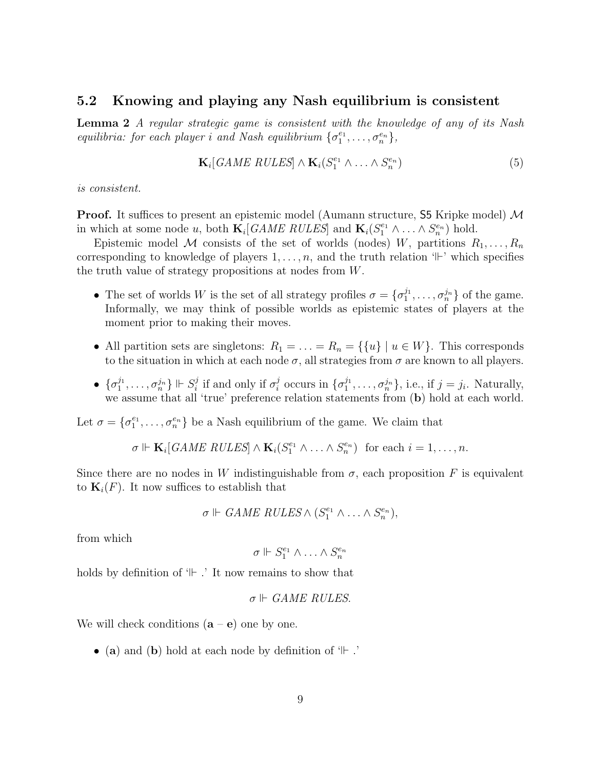#### 5.2 Knowing and playing any Nash equilibrium is consistent

Lemma 2 A regular strategic game is consistent with the knowledge of any of its Nash equilibria: for each player i and Nash equilibrium  $\{\sigma_1^{e_1}, \ldots, \sigma_n^{e_n}\},$ 

$$
\mathbf{K}_i[GAME \; RULES] \wedge \mathbf{K}_i(S_1^{e_1} \wedge \ldots \wedge S_n^{e_n}) \tag{5}
$$

is consistent.

**Proof.** It suffices to present an epistemic model (Aumann structure,  $\overline{S5}$  Kripke model) M in which at some node u, both  $\mathbf{K}_i[GAME \; RULES]$  and  $\mathbf{K}_i(S_1^{e_1} \wedge \ldots \wedge S_n^{e_n})$  hold.

Epistemic model M consists of the set of worlds (nodes) W, partitions  $R_1, \ldots, R_n$ corresponding to knowledge of players  $1, \ldots, n$ , and the truth relation ' $\vdash$ ' which specifies the truth value of strategy propositions at nodes from W.

- The set of worlds W is the set of all strategy profiles  $\sigma = {\sigma_1^{j_1}, \ldots, \sigma_n^{j_n}}$  of the game. Informally, we may think of possible worlds as epistemic states of players at the moment prior to making their moves.
- All partition sets are singletons:  $R_1 = \ldots = R_n = \{ \{u\} \mid u \in W \}$ . This corresponds to the situation in which at each node  $\sigma$ , all strategies from  $\sigma$  are known to all players.
- $\bullet \ \{\sigma_1^{j_1}, \ldots, \sigma_n^{j_n}\} \Vdash S_i^j$  $i$ <sup>*i*</sup> if and only if  $\sigma_i^j$  $i_i^j$  occurs in  $\{\sigma_1^{j_1}, \ldots, \sigma_n^{j_n}\}\$ , i.e., if  $j = j_i$ . Naturally, we assume that all 'true' preference relation statements from  $(b)$  hold at each world.

Let  $\sigma = {\sigma_1^{e_1}, \ldots, \sigma_n^{e_n}}$  be a Nash equilibrium of the game. We claim that

$$
\sigma \Vdash \mathbf{K}_i[GAME \; RULES] \wedge \mathbf{K}_i(S_1^{e_1} \wedge \ldots \wedge S_n^{e_n}) \text{ for each } i = 1, \ldots, n.
$$

Since there are no nodes in W indistinguishable from  $\sigma$ , each proposition F is equivalent to  $\mathbf{K}_i(F)$ . It now suffices to establish that

$$
\sigma \Vdash \text{GAME RULES} \wedge (S_1^{e_1} \wedge \ldots \wedge S_n^{e_n}),
$$

from which

$$
\sigma \Vdash S_1^{e_1} \wedge \ldots \wedge S_n^{e_n}
$$

holds by definition of  $H$ . It now remains to show that

$$
\sigma \Vdash \textit{GAME RULES}.
$$

We will check conditions  $(a - e)$  one by one.

• (a) and (b) hold at each node by definition of  $H$ .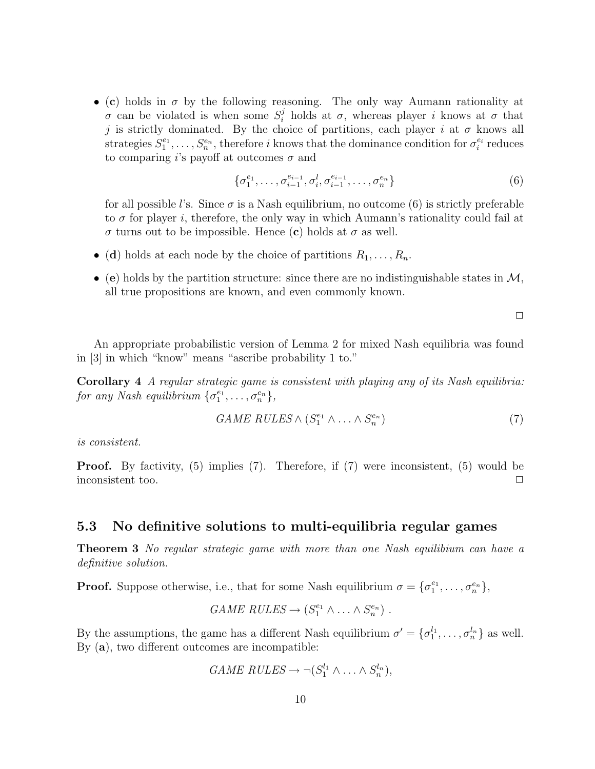• (c) holds in  $\sigma$  by the following reasoning. The only way Aumann rationality at σ can be violated is when some  $S_i^j$  holds at σ, whereas player i knows at σ that j is strictly dominated. By the choice of partitions, each player i at  $\sigma$  knows all strategies  $S_1^{e_1}, \ldots, S_n^{e_n}$ , therefore i knows that the dominance condition for  $\sigma_i^{e_i}$  reduces to comparing i's payoff at outcomes  $\sigma$  and

$$
\{\sigma_1^{e_1}, \dots, \sigma_{i-1}^{e_{i-1}}, \sigma_i^l, \sigma_{i-1}^{e_{i-1}}, \dots, \sigma_n^{e_n}\}\tag{6}
$$

for all possible l's. Since  $\sigma$  is a Nash equilibrium, no outcome (6) is strictly preferable to  $\sigma$  for player i, therefore, the only way in which Aumann's rationality could fail at  $\sigma$  turns out to be impossible. Hence (c) holds at  $\sigma$  as well.

- (d) holds at each node by the choice of partitions  $R_1, \ldots, R_n$ .
- (e) holds by the partition structure: since there are no indistinguishable states in  $\mathcal{M}$ , all true propositions are known, and even commonly known.

 $\Box$ 

An appropriate probabilistic version of Lemma 2 for mixed Nash equilibria was found in [3] in which "know" means "ascribe probability 1 to."

Corollary 4 A regular strategic game is consistent with playing any of its Nash equilibria: for any Nash equilibrium  $\{\sigma_1^{e_1}, \ldots, \sigma_n^{e_n}\},$ 

$$
GAME \ RULES \wedge (S_1^{e_1} \wedge \ldots \wedge S_n^{e_n}) \tag{7}
$$

is consistent.

**Proof.** By factivity, (5) implies (7). Therefore, if (7) were inconsistent, (5) would be inconsistent too.  $\Box$ 

#### 5.3 No definitive solutions to multi-equilibria regular games

**Theorem 3** No regular strategic game with more than one Nash equilibium can have a definitive solution.

**Proof.** Suppose otherwise, i.e., that for some Nash equilibrium  $\sigma = {\sigma_1^{e_1}, \ldots, \sigma_n^{e_n}}$ ,

$$
GAME \ RULES \rightarrow (S_1^{e_1} \land \ldots \land S_n^{e_n}).
$$

By the assumptions, the game has a different Nash equilibrium  $\sigma' = {\sigma_1^{l_1}, \ldots, \sigma_n^{l_n}}$  as well. By (a), two different outcomes are incompatible:

$$
GAME RULES \rightarrow \neg (S_1^{l_1} \land \dots \land S_n^{l_n}),
$$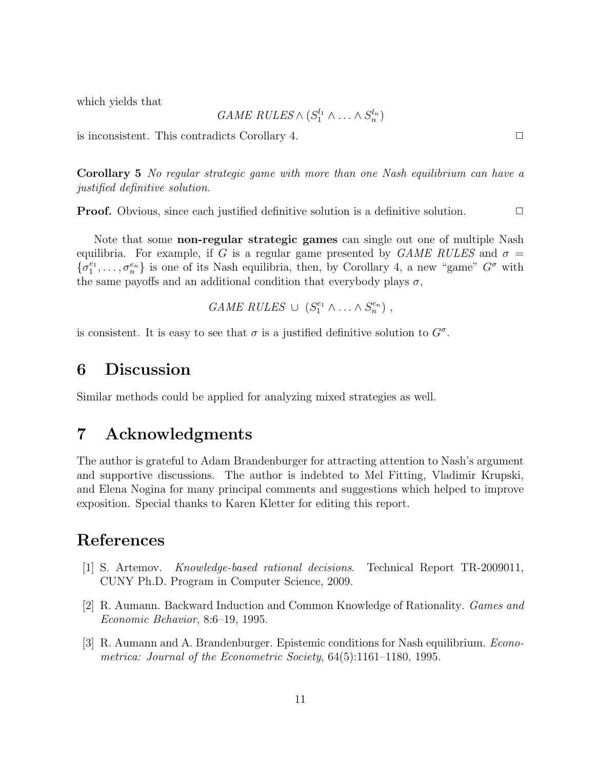which yields that

 $GAME \ RULES \wedge (S_1^{l_1} \wedge \ldots \wedge S_n^{l_n})$ 

is inconsistent. This contradicts Corollary 4.  $\Box$ 

Corollary 5 No regular strategic game with more than one Nash equilibrium can have a justified definitive solution.

**Proof.** Obvious, since each justified definitive solution is a definitive solution.  $\Box$ 

Note that some non-regular strategic games can single out one of multiple Nash equilibria. For example, if G is a regular game presented by  $GAME \ RULES$  and  $\sigma =$  $\{\sigma_1^{e_1},\ldots,\sigma_n^{e_n}\}\$ is one of its Nash equilibria, then, by Corollary 4, a new "game"  $G^{\sigma}$  with the same payoffs and an additional condition that everybody plays  $\sigma$ ,

$$
GAME \ RULES \ \cup \ (S_1^{e_1} \wedge \ldots \wedge S_n^{e_n}) \ ,
$$

is consistent. It is easy to see that  $\sigma$  is a justified definitive solution to  $G^{\sigma}$ .

### 6 Discussion

Similar methods could be applied for analyzing mixed strategies as well.

### 7 Acknowledgments

The author is grateful to Adam Brandenburger for attracting attention to Nash's argument and supportive discussions. The author is indebted to Mel Fitting, Vladimir Krupski, and Elena Nogina for many principal comments and suggestions which helped to improve exposition. Special thanks to Karen Kletter for editing this report.

## References

- [1] S. Artemov. Knowledge-based rational decisions. Technical Report TR-2009011, CUNY Ph.D. Program in Computer Science, 2009.
- [2] R. Aumann. Backward Induction and Common Knowledge of Rationality. Games and Economic Behavior, 8:6–19, 1995.
- [3] R. Aumann and A. Brandenburger. Epistemic conditions for Nash equilibrium. *Econo*metrica: Journal of the Econometric Society, 64(5):1161–1180, 1995.